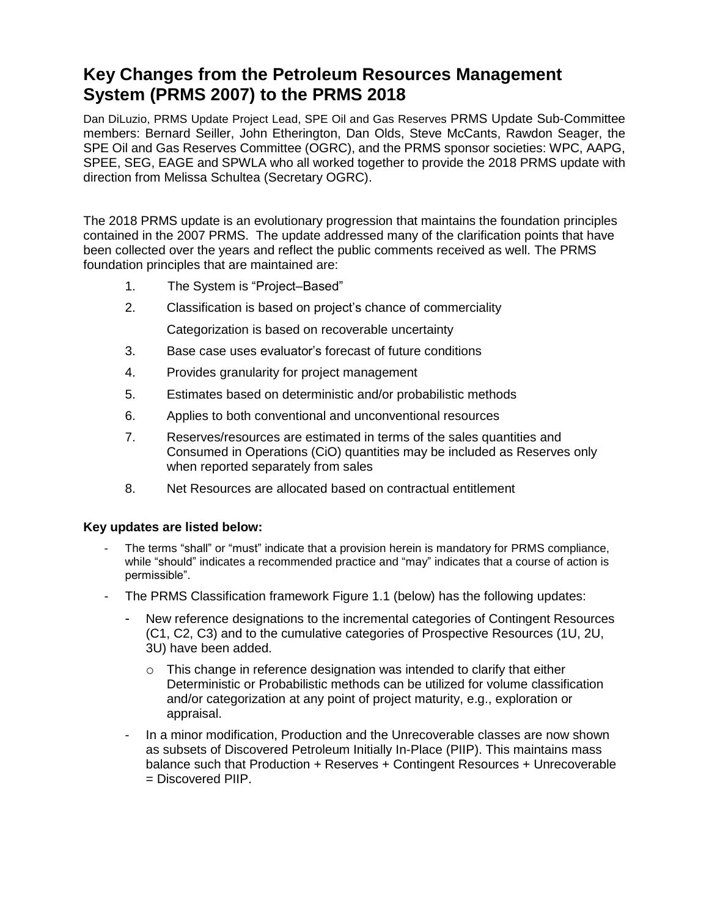## **Key Changes from the Petroleum Resources Management System (PRMS 2007) to the PRMS 2018**

Dan DiLuzio, PRMS Update Project Lead, SPE Oil and Gas Reserves PRMS Update Sub-Committee members: Bernard Seiller, John Etherington, Dan Olds, Steve McCants, Rawdon Seager, the SPE Oil and Gas Reserves Committee (OGRC), and the PRMS sponsor societies: WPC, AAPG, SPEE, SEG, EAGE and SPWLA who all worked together to provide the 2018 PRMS update with direction from Melissa Schultea (Secretary OGRC).

The 2018 PRMS update is an evolutionary progression that maintains the foundation principles contained in the 2007 PRMS. The update addressed many of the clarification points that have been collected over the years and reflect the public comments received as well. The PRMS foundation principles that are maintained are:

- 1. The System is "Project–Based"
- 2. Classification is based on project's chance of commerciality Categorization is based on recoverable uncertainty
- 3. Base case uses evaluator's forecast of future conditions
- 4. Provides granularity for project management
- 5. Estimates based on deterministic and/or probabilistic methods
- 6. Applies to both conventional and unconventional resources
- 7. Reserves/resources are estimated in terms of the sales quantities and Consumed in Operations (CiO) quantities may be included as Reserves only when reported separately from sales
- 8. Net Resources are allocated based on contractual entitlement

## **Key updates are listed below:**

- The terms "shall" or "must" indicate that a provision herein is mandatory for PRMS compliance, while "should" indicates a recommended practice and "may" indicates that a course of action is permissible".
- The PRMS Classification framework Figure 1.1 (below) has the following updates:
	- New reference designations to the incremental categories of Contingent Resources (C1, C2, C3) and to the cumulative categories of Prospective Resources (1U, 2U, 3U) have been added.
		- $\circ$  This change in reference designation was intended to clarify that either Deterministic or Probabilistic methods can be utilized for volume classification and/or categorization at any point of project maturity, e.g., exploration or appraisal.
	- In a minor modification, Production and the Unrecoverable classes are now shown as subsets of Discovered Petroleum Initially In-Place (PIIP). This maintains mass balance such that Production + Reserves + Contingent Resources + Unrecoverable = Discovered PIIP.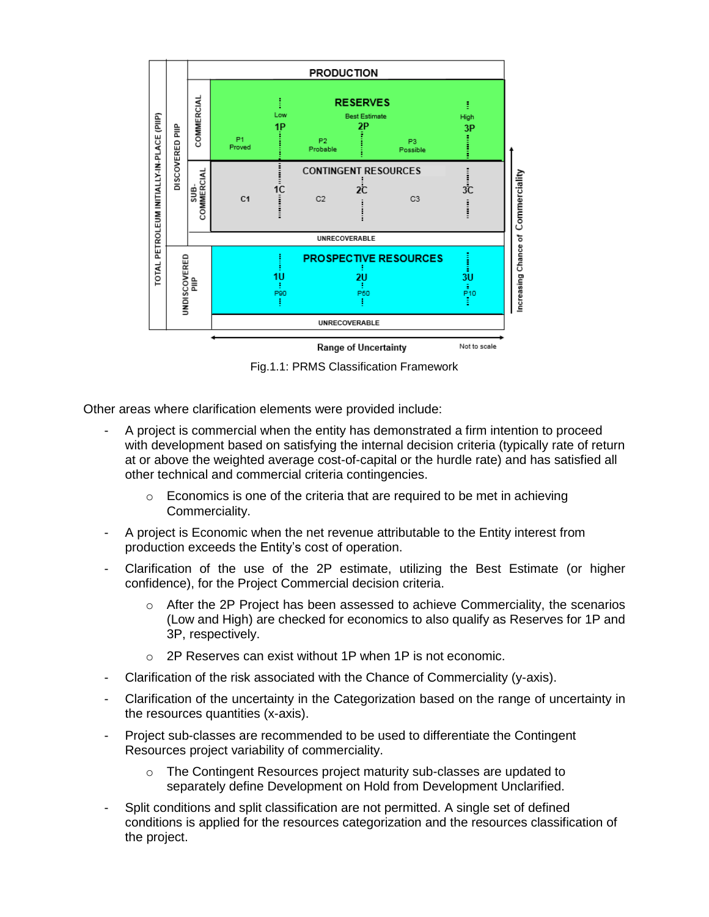

Fig.1.1: PRMS Classification Framework

Other areas where clarification elements were provided include:

- A project is commercial when the entity has demonstrated a firm intention to proceed with development based on satisfying the internal decision criteria (typically rate of return at or above the weighted average cost-of-capital or the hurdle rate) and has satisfied all other technical and commercial criteria contingencies.
	- $\circ$  Economics is one of the criteria that are required to be met in achieving Commerciality.
- A project is Economic when the net revenue attributable to the Entity interest from production exceeds the Entity's cost of operation.
- Clarification of the use of the 2P estimate, utilizing the Best Estimate (or higher confidence), for the Project Commercial decision criteria.
	- $\circ$  After the 2P Project has been assessed to achieve Commerciality, the scenarios (Low and High) are checked for economics to also qualify as Reserves for 1P and 3P, respectively.
	- o 2P Reserves can exist without 1P when 1P is not economic.
- Clarification of the risk associated with the Chance of Commerciality (y-axis).
- Clarification of the uncertainty in the Categorization based on the range of uncertainty in the resources quantities (x-axis).
- Project sub-classes are recommended to be used to differentiate the Contingent Resources project variability of commerciality.
	- o The Contingent Resources project maturity sub-classes are updated to separately define Development on Hold from Development Unclarified.
- Split conditions and split classification are not permitted. A single set of defined conditions is applied for the resources categorization and the resources classification of the project.